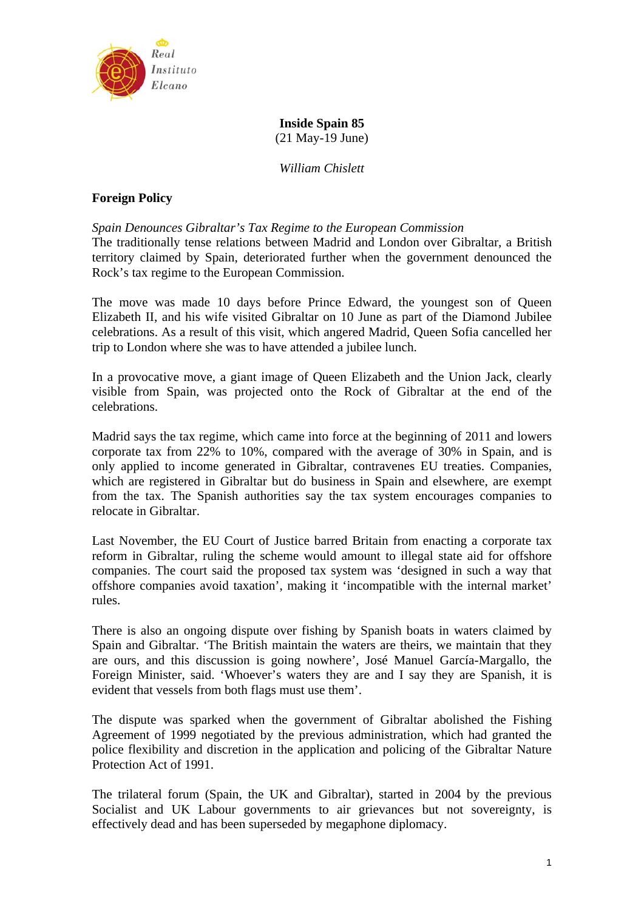

**Inside Spain 85** 

(21 May-19 June)

*William Chislett* 

# **Foreign Policy**

*Spain Denounces Gibraltar's Tax Regime to the European Commission* 

The traditionally tense relations between Madrid and London over Gibraltar, a British territory claimed by Spain, deteriorated further when the government denounced the Rock's tax regime to the European Commission.

The move was made 10 days before Prince Edward, the youngest son of Queen Elizabeth II, and his wife visited Gibraltar on 10 June as part of the Diamond Jubilee celebrations. As a result of this visit, which angered Madrid, Queen Sofia cancelled her trip to London where she was to have attended a jubilee lunch.

In a provocative move, a giant image of Queen Elizabeth and the Union Jack, clearly visible from Spain, was projected onto the Rock of Gibraltar at the end of the celebrations.

Madrid says the tax regime, which came into force at the beginning of 2011 and lowers corporate tax from 22% to 10%, compared with the average of 30% in Spain, and is only applied to income generated in Gibraltar, contravenes EU treaties. Companies, which are registered in Gibraltar but do business in Spain and elsewhere, are exempt from the tax. The Spanish authorities say the tax system encourages companies to relocate in Gibraltar.

Last November, the EU Court of Justice barred Britain from enacting a corporate tax reform in Gibraltar, ruling the scheme would amount to illegal state aid for offshore companies. The court said the proposed tax system was 'designed in such a way that offshore companies avoid taxation', making it 'incompatible with the internal market' rules.

There is also an ongoing dispute over fishing by Spanish boats in waters claimed by Spain and Gibraltar. 'The British maintain the waters are theirs, we maintain that they are ours, and this discussion is going nowhere', José Manuel García-Margallo, the Foreign Minister, said. 'Whoever's waters they are and I say they are Spanish, it is evident that vessels from both flags must use them'.

The dispute was sparked when the government of Gibraltar abolished the Fishing Agreement of 1999 negotiated by the previous administration, which had granted the police flexibility and discretion in the application and policing of the Gibraltar Nature Protection Act of 1991.

The trilateral forum (Spain, the UK and Gibraltar), started in 2004 by the previous Socialist and UK Labour governments to air grievances but not sovereignty, is effectively dead and has been superseded by megaphone diplomacy.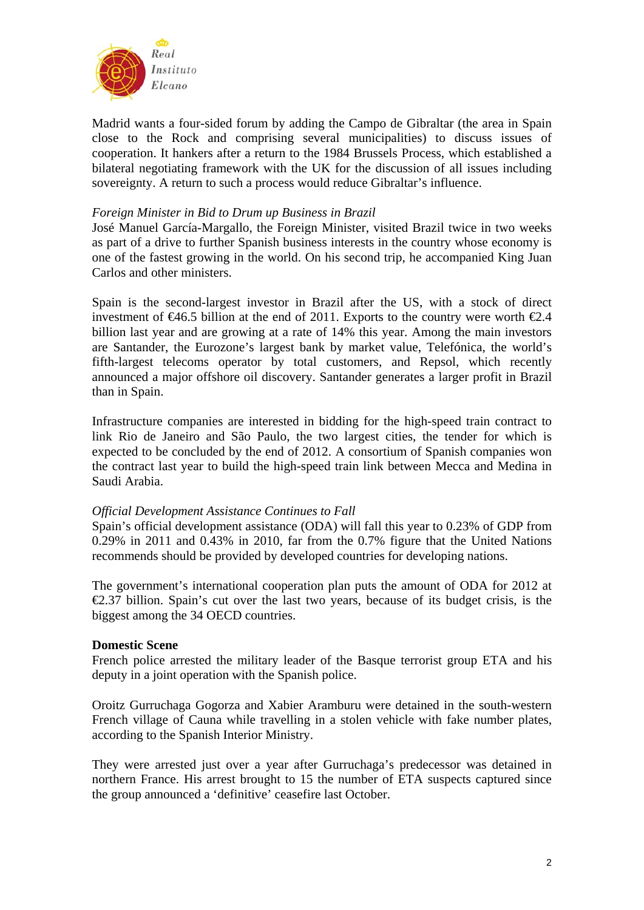

Madrid wants a four-sided forum by adding the Campo de Gibraltar (the area in Spain close to the Rock and comprising several municipalities) to discuss issues of cooperation. It hankers after a return to the 1984 Brussels Process, which established a bilateral negotiating framework with the UK for the discussion of all issues including sovereignty. A return to such a process would reduce Gibraltar's influence.

## *Foreign Minister in Bid to Drum up Business in Brazil*

José Manuel García-Margallo, the Foreign Minister, visited Brazil twice in two weeks as part of a drive to further Spanish business interests in the country whose economy is one of the fastest growing in the world. On his second trip, he accompanied King Juan Carlos and other ministers.

Spain is the second-largest investor in Brazil after the US, with a stock of direct investment of  $\epsilon 46.5$  billion at the end of 2011. Exports to the country were worth  $\epsilon 2.4$ billion last year and are growing at a rate of 14% this year. Among the main investors are Santander, the Eurozone's largest bank by market value, Telefónica, the world's fifth-largest telecoms operator by total customers, and Repsol, which recently announced a major offshore oil discovery. Santander generates a larger profit in Brazil than in Spain.

Infrastructure companies are interested in bidding for the high-speed train contract to link Rio de Janeiro and São Paulo, the two largest cities, the tender for which is expected to be concluded by the end of 2012. A consortium of Spanish companies won the contract last year to build the high-speed train link between Mecca and Medina in Saudi Arabia.

## *Official Development Assistance Continues to Fall*

Spain's official development assistance (ODA) will fall this year to 0.23% of GDP from 0.29% in 2011 and 0.43% in 2010, far from the 0.7% figure that the United Nations recommends should be provided by developed countries for developing nations.

The government's international cooperation plan puts the amount of ODA for 2012 at  $\epsilon$ 2.37 billion. Spain's cut over the last two years, because of its budget crisis, is the biggest among the 34 OECD countries.

## **Domestic Scene**

French police arrested the military leader of the Basque terrorist group ETA and his deputy in a joint operation with the Spanish police.

Oroitz Gurruchaga Gogorza and Xabier Aramburu were detained in the south-western French village of Cauna while travelling in a stolen vehicle with fake number plates, according to the Spanish Interior Ministry.

They were arrested just over a year after Gurruchaga's predecessor was detained in northern France. His arrest brought to 15 the number of ETA suspects captured since the group announced a 'definitive' ceasefire last October.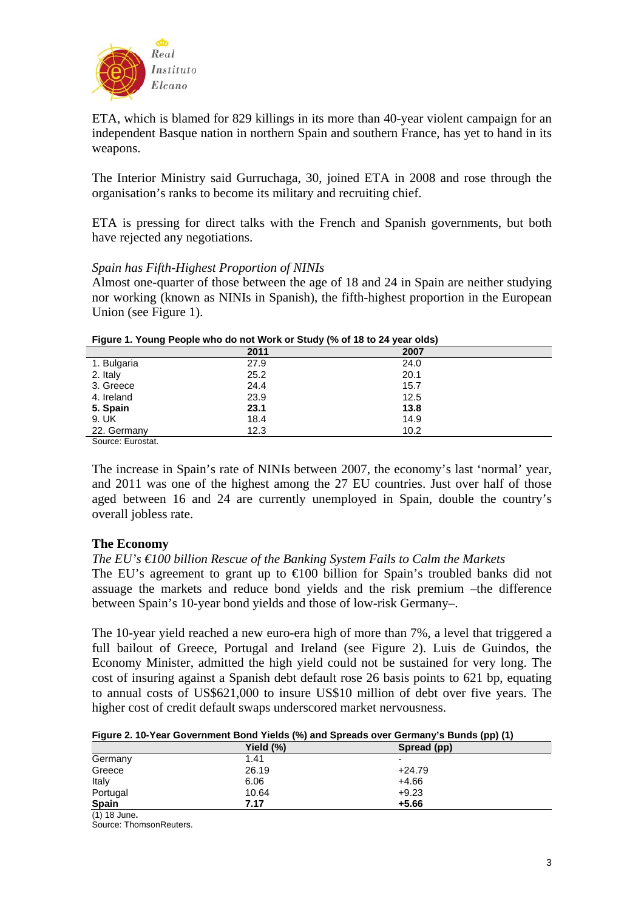

ETA, which is blamed for 829 killings in its more than 40-year violent campaign for an independent Basque nation in northern Spain and southern France, has yet to hand in its weapons.

The Interior Ministry said Gurruchaga, 30, joined ETA in 2008 and rose through the organisation's ranks to become its military and recruiting chief.

ETA is pressing for direct talks with the French and Spanish governments, but both have rejected any negotiations.

### *Spain has Fifth-Highest Proportion of NINIs*

Almost one-quarter of those between the age of 18 and 24 in Spain are neither studying nor working (known as NINIs in Spanish), the fifth-highest proportion in the European Union (see Figure 1).

| <b>THE READ IS TO MAKE AN INTERVAL OF STATION OF A STATISTIC CONTROL</b> |      |      |  |
|--------------------------------------------------------------------------|------|------|--|
|                                                                          | 2011 | 2007 |  |
| 1. Bulgaria                                                              | 27.9 | 24.0 |  |
| 2. Italy                                                                 | 25.2 | 20.1 |  |
| 3. Greece                                                                | 24.4 | 15.7 |  |
| 4. Ireland                                                               | 23.9 | 12.5 |  |
| 5. Spain                                                                 | 23.1 | 13.8 |  |
| 9. UK                                                                    | 18.4 | 14.9 |  |
| 22. Germany                                                              | 12.3 | 10.2 |  |
| Source: Eurostat.                                                        |      |      |  |

**Figure 1. Young People who do not Work or Study (% of 18 to 24 year olds)** 

The increase in Spain's rate of NINIs between 2007, the economy's last 'normal' year, and 2011 was one of the highest among the 27 EU countries. Just over half of those aged between 16 and 24 are currently unemployed in Spain, double the country's overall jobless rate.

## **The Economy**

*The EU's €100 billion Rescue of the Banking System Fails to Calm the Markets* 

The EU's agreement to grant up to  $\infty$  billion for Spain's troubled banks did not assuage the markets and reduce bond yields and the risk premium –the difference between Spain's 10-year bond yields and those of low-risk Germany–.

The 10-year yield reached a new euro-era high of more than 7%, a level that triggered a full bailout of Greece, Portugal and Ireland (see Figure 2). Luis de Guindos, the Economy Minister, admitted the high yield could not be sustained for very long. The cost of insuring against a Spanish debt default rose 26 basis points to 621 bp, equating to annual costs of US\$621,000 to insure US\$10 million of debt over five years. The higher cost of credit default swaps underscored market nervousness.

|              | Yield $(\%)$ | ,,,,,,,<br>Spread (pp) |
|--------------|--------------|------------------------|
| Germany      | 1.41         | -                      |
| Greece       | 26.19        | $+24.79$               |
| Italy        | 6.06         | $+4.66$                |
| Portugal     | 10.64        | $+9.23$                |
| <b>Spain</b> | 7.17         | $+5.66$                |

<sup>(1)</sup> 18 June**.** 

Source: ThomsonReuters.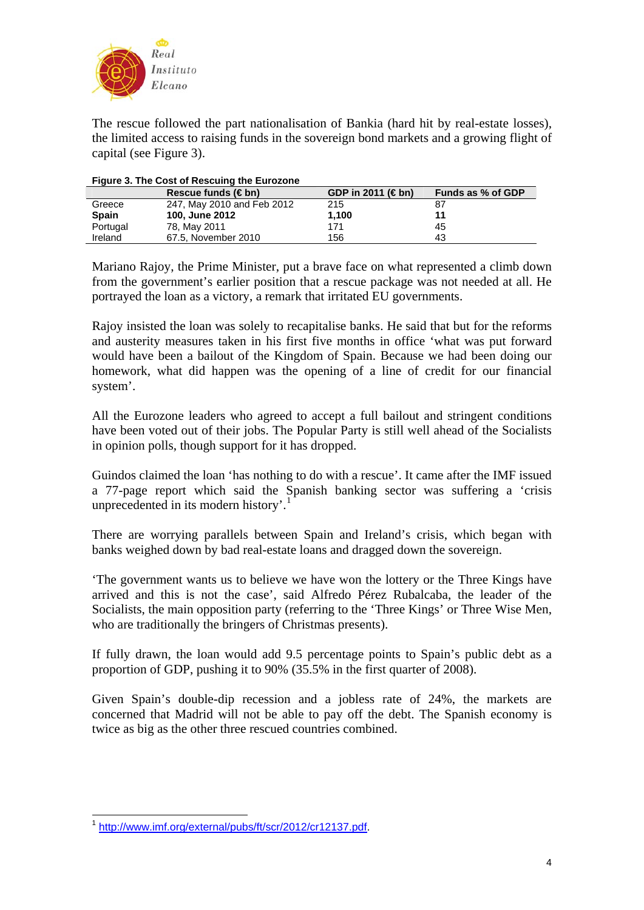

The rescue followed the part nationalisation of Bankia (hard hit by real-estate losses), the limited access to raising funds in the sovereign bond markets and a growing flight of capital (see Figure 3).

|              | Rescue funds $(\in$ bn)    | GDP in 2011 ( $\notin$ bn) | Funds as % of GDP |
|--------------|----------------------------|----------------------------|-------------------|
| Greece       | 247, May 2010 and Feb 2012 | 215                        | 87                |
| <b>Spain</b> | <b>100, June 2012</b>      | 1.100                      | 11                |
| Portugal     | 78, May 2011               | 171                        | 45                |
| Ireland      | 67.5, November 2010        | 156                        | 43                |

#### **Figure 3. The Cost of Rescuing the Eurozone**

Mariano Rajoy, the Prime Minister, put a brave face on what represented a climb down from the government's earlier position that a rescue package was not needed at all. He portrayed the loan as a victory, a remark that irritated EU governments.

Rajoy insisted the loan was solely to recapitalise banks. He said that but for the reforms and austerity measures taken in his first five months in office 'what was put forward would have been a bailout of the Kingdom of Spain. Because we had been doing our homework, what did happen was the opening of a line of credit for our financial system'.

All the Eurozone leaders who agreed to accept a full bailout and stringent conditions have been voted out of their jobs. The Popular Party is still well ahead of the Socialists in opinion polls, though support for it has dropped.

Guindos claimed the loan 'has nothing to do with a rescue'. It came after the IMF issued a 77-page report which said the Spanish banking sector was suffering a 'crisis unprecedented in its modern history'.<sup>[1](#page-3-0)</sup>

There are worrying parallels between Spain and Ireland's crisis, which began with banks weighed down by bad real-estate loans and dragged down the sovereign.

'The government wants us to believe we have won the lottery or the Three Kings have arrived and this is not the case', said Alfredo Pérez Rubalcaba, the leader of the Socialists, the main opposition party (referring to the 'Three Kings' or Three Wise Men, who are traditionally the bringers of Christmas presents).

If fully drawn, the loan would add 9.5 percentage points to Spain's public debt as a proportion of GDP, pushing it to 90% (35.5% in the first quarter of 2008).

Given Spain's double-dip recession and a jobless rate of 24%, the markets are concerned that Madrid will not be able to pay off the debt. The Spanish economy is twice as big as the other three rescued countries combined.

<span id="page-3-0"></span><sup>1</sup> <sup>1</sup> <http://www.imf.org/external/pubs/ft/scr/2012/cr12137.pdf>.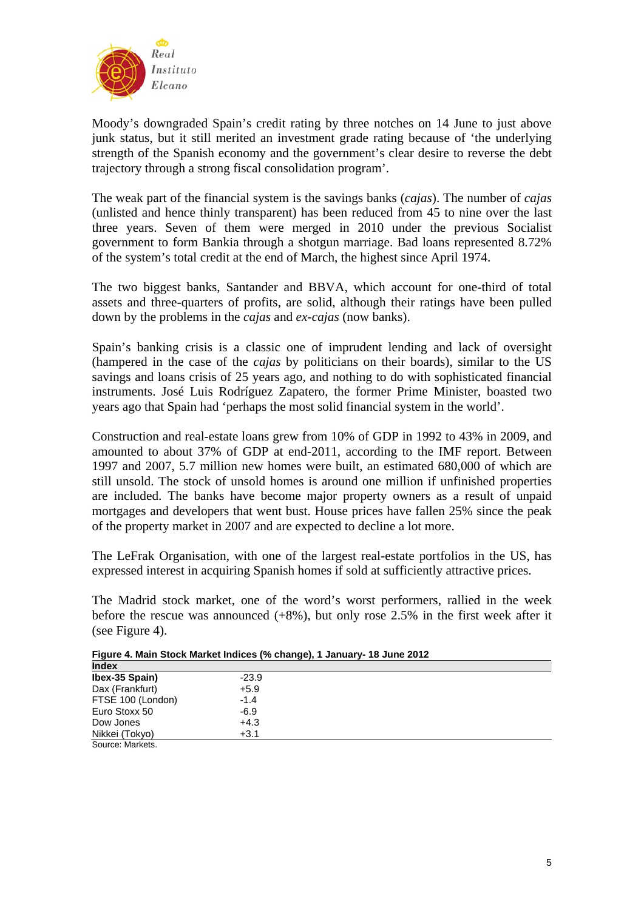

Moody's downgraded Spain's credit rating by three notches on 14 June to just above junk status, but it still merited an investment grade rating because of 'the underlying strength of the Spanish economy and the government's clear desire to reverse the debt trajectory through a strong fiscal consolidation program'.

The weak part of the financial system is the savings banks (*cajas*). The number of *cajas* (unlisted and hence thinly transparent) has been reduced from 45 to nine over the last three years. Seven of them were merged in 2010 under the previous Socialist government to form Bankia through a shotgun marriage. Bad loans represented 8.72% of the system's total credit at the end of March, the highest since April 1974.

The two biggest banks, Santander and BBVA, which account for one-third of total assets and three-quarters of profits, are solid, although their ratings have been pulled down by the problems in the *cajas* and *ex-cajas* (now banks).

Spain's banking crisis is a classic one of imprudent lending and lack of oversight (hampered in the case of the *cajas* by politicians on their boards), similar to the US savings and loans crisis of 25 years ago, and nothing to do with sophisticated financial instruments. José Luis Rodríguez Zapatero, the former Prime Minister, boasted two years ago that Spain had 'perhaps the most solid financial system in the world'.

Construction and real-estate loans grew from 10% of GDP in 1992 to 43% in 2009, and amounted to about 37% of GDP at end-2011, according to the IMF report. Between 1997 and 2007, 5.7 million new homes were built, an estimated 680,000 of which are still unsold. The stock of unsold homes is around one million if unfinished properties are included. The banks have become major property owners as a result of unpaid mortgages and developers that went bust. House prices have fallen 25% since the peak of the property market in 2007 and are expected to decline a lot more.

The LeFrak Organisation, with one of the largest real-estate portfolios in the US, has expressed interest in acquiring Spanish homes if sold at sufficiently attractive prices.

The Madrid stock market, one of the word's worst performers, rallied in the week before the rescue was announced  $(+8%)$ , but only rose 2.5% in the first week after it (see Figure 4).

| - -               |         | . |  |  |
|-------------------|---------|---|--|--|
| <b>Index</b>      |         |   |  |  |
| Ibex-35 Spain)    | $-23.9$ |   |  |  |
| Dax (Frankfurt)   | $+5.9$  |   |  |  |
| FTSE 100 (London) | $-1.4$  |   |  |  |
| Euro Stoxx 50     | $-6.9$  |   |  |  |
| Dow Jones         | $+4.3$  |   |  |  |
| Nikkei (Tokyo)    | $+3.1$  |   |  |  |
| Source: Markets.  |         |   |  |  |

**Figure 4. Main Stock Market Indices (% change), 1 January- 18 June 2012**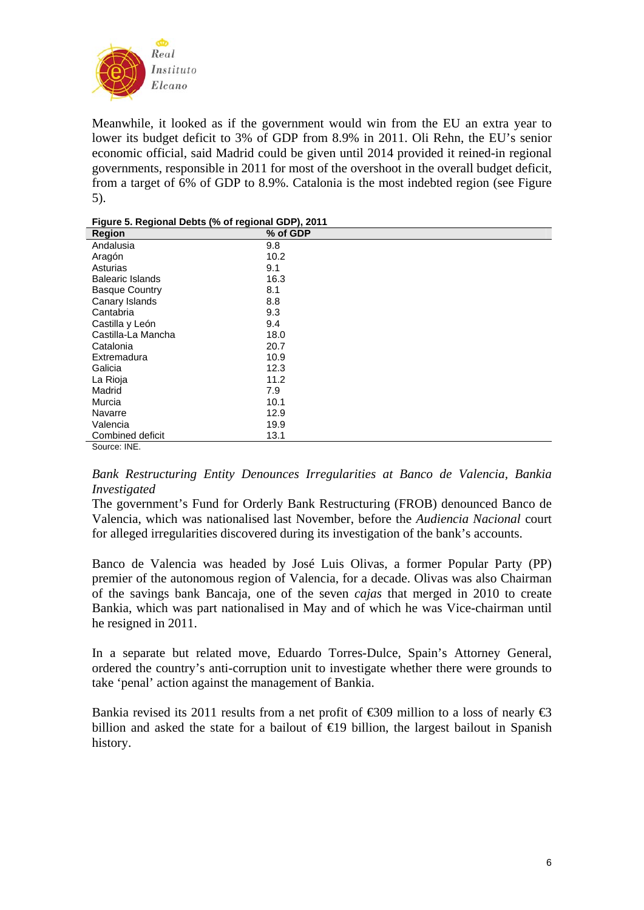

Meanwhile, it looked as if the government would win from the EU an extra year to lower its budget deficit to 3% of GDP from 8.9% in 2011. Oli Rehn, the EU's senior economic official, said Madrid could be given until 2014 provided it reined-in regional governments, responsible in 2011 for most of the overshoot in the overall budget deficit, from a target of 6% of GDP to 8.9%. Catalonia is the most indebted region (see Figure 5).

| <b>Region</b>           | % of GDP |
|-------------------------|----------|
| Andalusia               | 9.8      |
| Aragón                  | 10.2     |
| Asturias                | 9.1      |
| <b>Balearic Islands</b> | 16.3     |
| <b>Basque Country</b>   | 8.1      |
| Canary Islands          | 8.8      |
| Cantabria               | 9.3      |
| Castilla y León         | 9.4      |
| Castilla-La Mancha      | 18.0     |
| Catalonia               | 20.7     |
| Extremadura             | 10.9     |
| Galicia                 | 12.3     |
| La Rioja                | 11.2     |
| Madrid                  | 7.9      |
| Murcia                  | 10.1     |
| Navarre                 | 12.9     |
| Valencia                | 19.9     |
| Combined deficit        | 13.1     |
| Source: INF             |          |

| Figure 5. Regional Debts (% of regional GDP), 2011 |  |
|----------------------------------------------------|--|
|----------------------------------------------------|--|

*Bank Restructuring Entity Denounces Irregularities at Banco de Valencia, Bankia Investigated* 

The government's Fund for Orderly Bank Restructuring (FROB) denounced Banco de Valencia, which was nationalised last November, before the *Audiencia Nacional* court for alleged irregularities discovered during its investigation of the bank's accounts.

Banco de Valencia was headed by José Luis Olivas, a former Popular Party (PP) premier of the autonomous region of Valencia, for a decade. Olivas was also Chairman of the savings bank Bancaja, one of the seven *cajas* that merged in 2010 to create Bankia, which was part nationalised in May and of which he was Vice-chairman until he resigned in 2011.

In a separate but related move, Eduardo Torres-Dulce, Spain's Attorney General, ordered the country's anti-corruption unit to investigate whether there were grounds to take 'penal' action against the management of Bankia.

Bankia revised its 2011 results from a net profit of  $\infty$ 309 million to a loss of nearly  $\infty$ billion and asked the state for a bailout of  $\bigoplus$  billion, the largest bailout in Spanish history.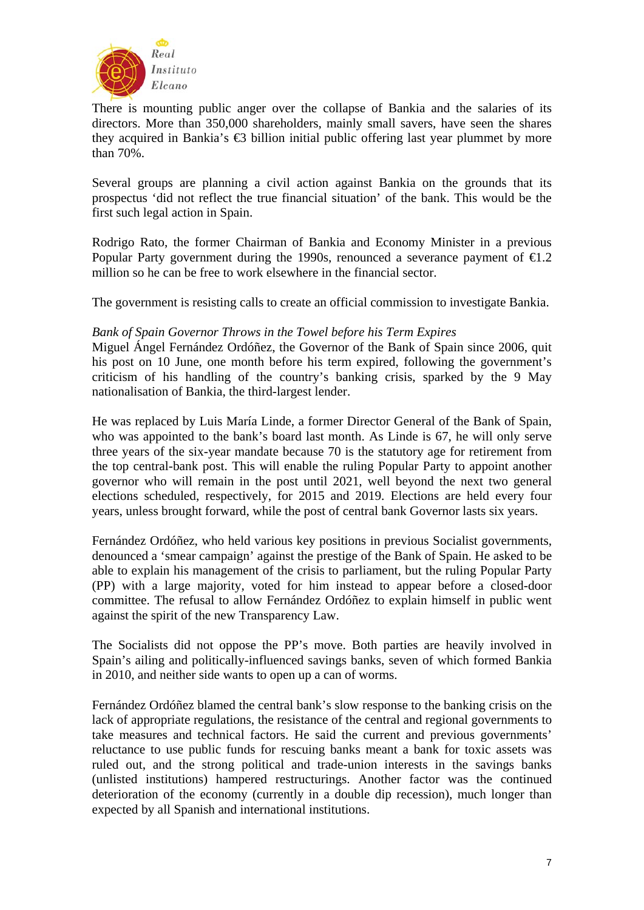

There is mounting public anger over the collapse of Bankia and the salaries of its directors. More than 350,000 shareholders, mainly small savers, have seen the shares they acquired in Bankia's  $\bigoplus$  billion initial public offering last year plummet by more than 70%.

Several groups are planning a civil action against Bankia on the grounds that its prospectus 'did not reflect the true financial situation' of the bank. This would be the first such legal action in Spain.

Rodrigo Rato, the former Chairman of Bankia and Economy Minister in a previous Popular Party government during the 1990s, renounced a severance payment of  $\epsilon 1.2$ million so he can be free to work elsewhere in the financial sector.

The government is resisting calls to create an official commission to investigate Bankia.

## *Bank of Spain Governor Throws in the Towel before his Term Expires*

Miguel Ángel Fernández Ordóñez, the Governor of the Bank of Spain since 2006, quit his post on 10 June, one month before his term expired, following the government's criticism of his handling of the country's banking crisis, sparked by the 9 May nationalisation of Bankia, the third-largest lender.

He was replaced by Luis María Linde, a former Director General of the Bank of Spain, who was appointed to the bank's board last month. As Linde is 67, he will only serve three years of the six-year mandate because 70 is the statutory age for retirement from the top central-bank post. This will enable the ruling Popular Party to appoint another governor who will remain in the post until 2021, well beyond the next two general elections scheduled, respectively, for 2015 and 2019. Elections are held every four years, unless brought forward, while the post of central bank Governor lasts six years.

Fernández Ordóñez, who held various key positions in previous Socialist governments, denounced a 'smear campaign' against the prestige of the Bank of Spain. He asked to be able to explain his management of the crisis to parliament, but the ruling Popular Party (PP) with a large majority, voted for him instead to appear before a closed-door committee. The refusal to allow Fernández Ordóñez to explain himself in public went against the spirit of the new Transparency Law.

The Socialists did not oppose the PP's move. Both parties are heavily involved in Spain's ailing and politically-influenced savings banks, seven of which formed Bankia in 2010, and neither side wants to open up a can of worms.

Fernández Ordóñez blamed the central bank's slow response to the banking crisis on the lack of appropriate regulations, the resistance of the central and regional governments to take measures and technical factors. He said the current and previous governments' reluctance to use public funds for rescuing banks meant a bank for toxic assets was ruled out, and the strong political and trade-union interests in the savings banks (unlisted institutions) hampered restructurings. Another factor was the continued deterioration of the economy (currently in a double dip recession), much longer than expected by all Spanish and international institutions.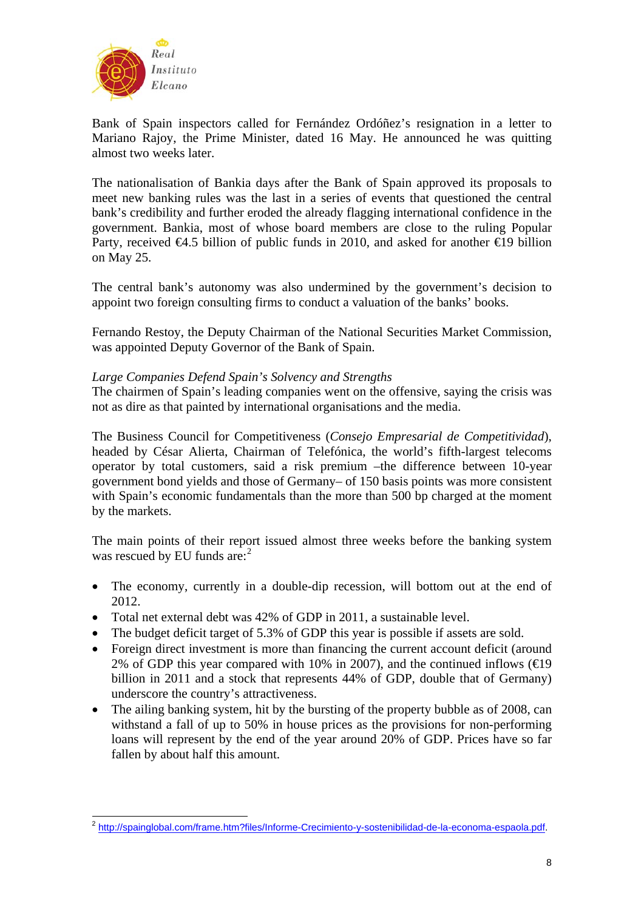

1

Bank of Spain inspectors called for Fernández Ordóñez's resignation in a letter to Mariano Rajoy, the Prime Minister, dated 16 May. He announced he was quitting almost two weeks later.

The nationalisation of Bankia days after the Bank of Spain approved its proposals to meet new banking rules was the last in a series of events that questioned the central bank's credibility and further eroded the already flagging international confidence in the government. Bankia, most of whose board members are close to the ruling Popular Party, received  $\bigoplus$ .5 billion of public funds in 2010, and asked for another  $\bigoplus$  billion on May 25.

The central bank's autonomy was also undermined by the government's decision to appoint two foreign consulting firms to conduct a valuation of the banks' books.

Fernando Restoy, the Deputy Chairman of the National Securities Market Commission, was appointed Deputy Governor of the Bank of Spain.

## *Large Companies Defend Spain's Solvency and Strengths*

The chairmen of Spain's leading companies went on the offensive, saying the crisis was not as dire as that painted by international organisations and the media.

The Business Council for Competitiveness (*Consejo Empresarial de Competitividad*), headed by César Alierta, Chairman of Telefónica, the world's fifth-largest telecoms operator by total customers, said a risk premium –the difference between 10-year government bond yields and those of Germany– of 150 basis points was more consistent with Spain's economic fundamentals than the more than 500 bp charged at the moment by the markets.

The main points of their report issued almost three weeks before the banking system was rescued by EU funds are:<sup>[2](#page-7-0)</sup>

- The economy, currently in a double-dip recession, will bottom out at the end of 2012.
- Total net external debt was 42% of GDP in 2011, a sustainable level.
- The budget deficit target of 5.3% of GDP this year is possible if assets are sold.
- Foreign direct investment is more than financing the current account deficit (around 2% of GDP this year compared with 10% in 2007), and the continued inflows  $(\text{E}19)$ billion in 2011 and a stock that represents 44% of GDP, double that of Germany) underscore the country's attractiveness.
- The ailing banking system, hit by the bursting of the property bubble as of 2008, can withstand a fall of up to 50% in house prices as the provisions for non-performing loans will represent by the end of the year around 20% of GDP. Prices have so far fallen by about half this amount.

<span id="page-7-0"></span><sup>&</sup>lt;sup>2</sup> <http://spainglobal.com/frame.htm?files/Informe-Crecimiento-y-sostenibilidad-de-la-economa-espaola.pdf>.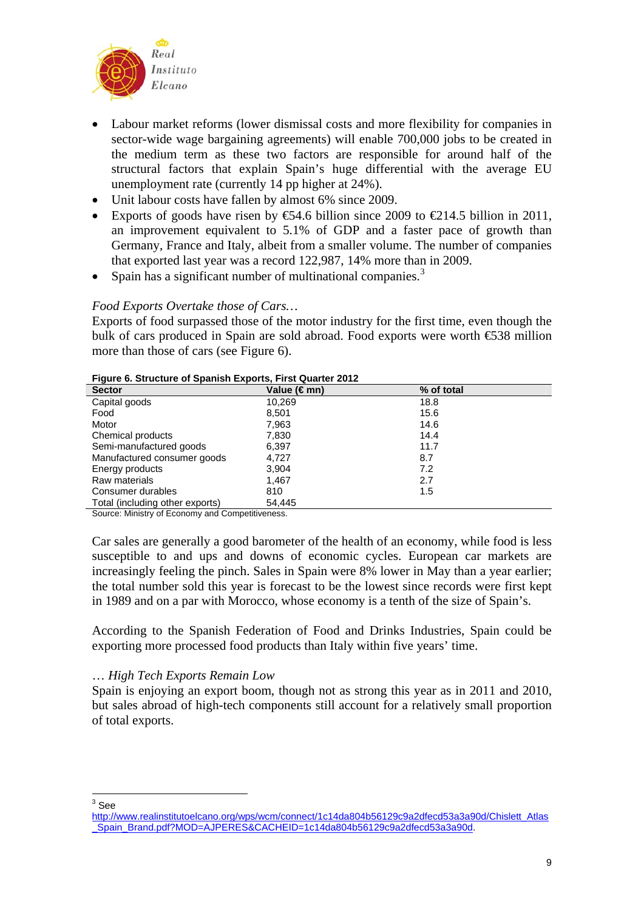

- Labour market reforms (lower dismissal costs and more flexibility for companies in sector-wide wage bargaining agreements) will enable 700,000 jobs to be created in the medium term as these two factors are responsible for around half of the structural factors that explain Spain's huge differential with the average EU unemployment rate (currently 14 pp higher at 24%).
- Unit labour costs have fallen by almost 6% since 2009.
- Exports of goods have risen by  $\mathfrak{S}4.6$  billion since 2009 to  $\mathfrak{L}14.5$  billion in 2011, an improvement equivalent to 5.1% of GDP and a faster pace of growth than Germany, France and Italy, albeit from a smaller volume. The number of companies that exported last year was a record 122,987, 14% more than in 2009.
- Spain has a significant number of multinational companies.<sup>[3](#page-8-0)</sup>

## *Food Exports Overtake those of Cars…*

Exports of food surpassed those of the motor industry for the first time, even though the bulk of cars produced in Spain are sold abroad. Food exports were worth €538 million more than those of cars (see Figure 6).

| $\frac{1}{2}$ iguiv vi oli dolui v vi opuinon Exporto, i not guurto. Ev i E |             |            |  |
|-----------------------------------------------------------------------------|-------------|------------|--|
| <b>Sector</b>                                                               | Value (€mn) | % of total |  |
| Capital goods                                                               | 10,269      | 18.8       |  |
| Food                                                                        | 8,501       | 15.6       |  |
| Motor                                                                       | 7,963       | 14.6       |  |
| Chemical products                                                           | 7,830       | 14.4       |  |
| Semi-manufactured goods                                                     | 6,397       | 11.7       |  |
| Manufactured consumer goods                                                 | 4.727       | 8.7        |  |
| Energy products                                                             | 3,904       | 7.2        |  |
| Raw materials                                                               | 1.467       | 2.7        |  |
| Consumer durables                                                           | 810         | 1.5        |  |
| Total (including other exports)                                             | 54,445      |            |  |

#### **Figure 6. Structure of Spanish Exports, First Quarter 2012**

Source: Ministry of Economy and Competitiveness.

Car sales are generally a good barometer of the health of an economy, while food is less susceptible to and ups and downs of economic cycles. European car markets are increasingly feeling the pinch. Sales in Spain were 8% lower in May than a year earlier; the total number sold this year is forecast to be the lowest since records were first kept in 1989 and on a par with Morocco, whose economy is a tenth of the size of Spain's.

According to the Spanish Federation of Food and Drinks Industries, Spain could be exporting more processed food products than Italy within five years' time.

## … *High Tech Exports Remain Low*

Spain is enjoying an export boom, though not as strong this year as in 2011 and 2010, but sales abroad of high-tech components still account for a relatively small proportion of total exports.

 $\frac{1}{3}$ See

<span id="page-8-0"></span>[http://www.realinstitutoelcano.org/wps/wcm/connect/1c14da804b56129c9a2dfecd53a3a90d/Chislett\\_Atlas](http://www.realinstitutoelcano.org/wps/wcm/connect/1c14da804b56129c9a2dfecd53a3a90d/Chislett_Atlas_Spain_Brand.pdf?MOD=AJPERES&CACHEID=1c14da804b56129c9a2dfecd53a3a90d) [\\_Spain\\_Brand.pdf?MOD=AJPERES&CACHEID=1c14da804b56129c9a2dfecd53a3a90d](http://www.realinstitutoelcano.org/wps/wcm/connect/1c14da804b56129c9a2dfecd53a3a90d/Chislett_Atlas_Spain_Brand.pdf?MOD=AJPERES&CACHEID=1c14da804b56129c9a2dfecd53a3a90d).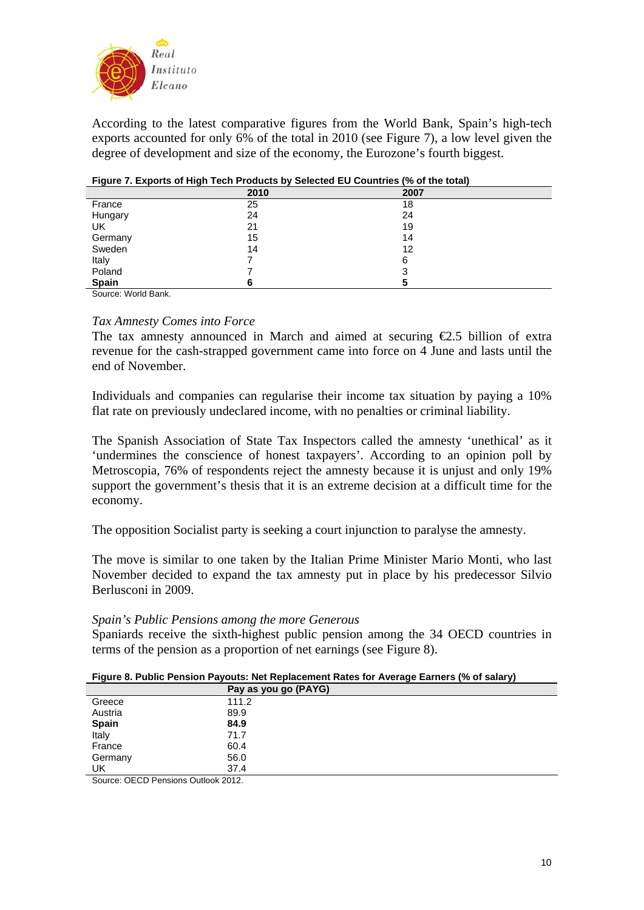

According to the latest comparative figures from the World Bank, Spain's high-tech exports accounted for only 6% of the total in 2010 (see Figure 7), a low level given the degree of development and size of the economy, the Eurozone's fourth biggest.

| $\sim$                                                                                     |      |      |
|--------------------------------------------------------------------------------------------|------|------|
|                                                                                            | 2010 | 2007 |
| France                                                                                     | 25   | 18   |
| Hungary                                                                                    | 24   | 24   |
| UK                                                                                         | 21   | 19   |
| Germany                                                                                    | 15   | 14   |
| Sweden                                                                                     | 14   | 12   |
| Italy                                                                                      |      | 6    |
| Poland                                                                                     |      |      |
| <b>Spain</b>                                                                               |      |      |
| $O_{\text{c}}$ and $O_{\text{c}}$ and $O_{\text{c}}$ and $O_{\text{c}}$ and $O_{\text{c}}$ |      |      |

| Figure 7. Exports of High Tech Products by Selected EU Countries (% of the total) |  |
|-----------------------------------------------------------------------------------|--|

Source: World Bank.

## *Tax Amnesty Comes into Force*

The tax amnesty announced in March and aimed at securing  $\epsilon$ 2.5 billion of extra revenue for the cash-strapped government came into force on 4 June and lasts until the end of November.

Individuals and companies can regularise their income tax situation by paying a 10% flat rate on previously undeclared income, with no penalties or criminal liability.

The Spanish Association of State Tax Inspectors called the amnesty 'unethical' as it 'undermines the conscience of honest taxpayers'. According to an opinion poll by Metroscopia, 76% of respondents reject the amnesty because it is unjust and only 19% support the government's thesis that it is an extreme decision at a difficult time for the economy.

The opposition Socialist party is seeking a court injunction to paralyse the amnesty.

The move is similar to one taken by the Italian Prime Minister Mario Monti, who last November decided to expand the tax amnesty put in place by his predecessor Silvio Berlusconi in 2009.

#### *Spain's Public Pensions among the more Generous*

Spaniards receive the sixth-highest public pension among the 34 OECD countries in terms of the pension as a proportion of net earnings (see Figure 8).

| Figure 8. Public Pension Payouts: Net Replacement Rates for Average Earners (% of salary) |  |  |  |
|-------------------------------------------------------------------------------------------|--|--|--|
|-------------------------------------------------------------------------------------------|--|--|--|

| .            |                      | . . |
|--------------|----------------------|-----|
|              | Pay as you go (PAYG) |     |
| Greece       | 111.2                |     |
| Austria      | 89.9                 |     |
| <b>Spain</b> | 84.9                 |     |
| Italy        | 71.7                 |     |
| France       | 60.4                 |     |
| Germany      | 56.0                 |     |
| UK           | 37.4                 |     |
|              |                      |     |

Source: OECD Pensions Outlook 2012.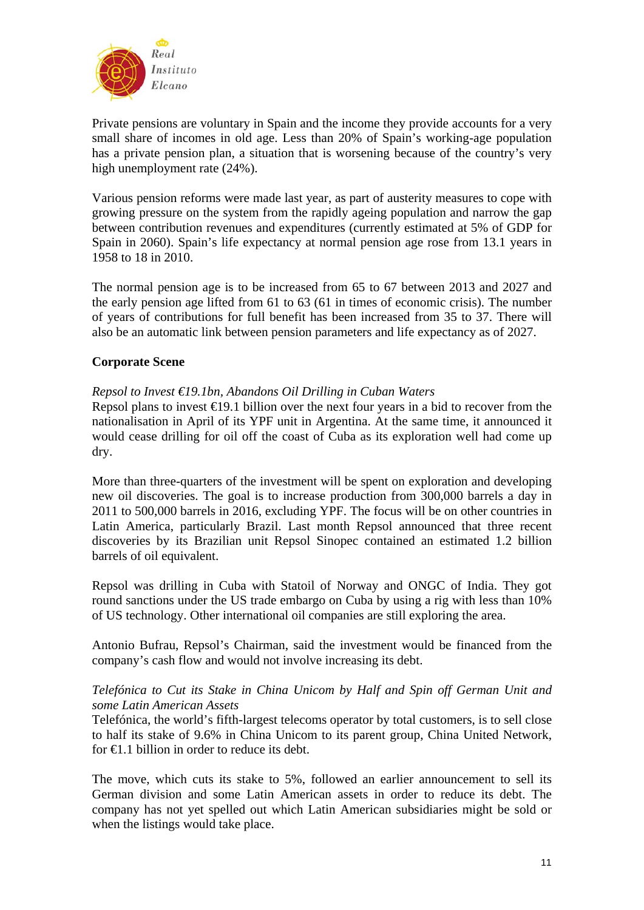

Private pensions are voluntary in Spain and the income they provide accounts for a very small share of incomes in old age. Less than 20% of Spain's working-age population has a private pension plan, a situation that is worsening because of the country's very high unemployment rate (24%).

Various pension reforms were made last year, as part of austerity measures to cope with growing pressure on the system from the rapidly ageing population and narrow the gap between contribution revenues and expenditures (currently estimated at 5% of GDP for Spain in 2060). Spain's life expectancy at normal pension age rose from 13.1 years in 1958 to 18 in 2010.

The normal pension age is to be increased from 65 to 67 between 2013 and 2027 and the early pension age lifted from 61 to 63 (61 in times of economic crisis). The number of years of contributions for full benefit has been increased from 35 to 37. There will also be an automatic link between pension parameters and life expectancy as of 2027.

# **Corporate Scene**

## *Repsol to Invest €19.1bn, Abandons Oil Drilling in Cuban Waters*

Repsol plans to invest  $\bigoplus$ 9.1 billion over the next four years in a bid to recover from the nationalisation in April of its YPF unit in Argentina. At the same time, it announced it would cease drilling for oil off the coast of Cuba as its exploration well had come up dry.

More than three-quarters of the investment will be spent on exploration and developing new oil discoveries. The goal is to increase production from 300,000 barrels a day in 2011 to 500,000 barrels in 2016, excluding YPF. The focus will be on other countries in Latin America, particularly Brazil. Last month Repsol announced that three recent discoveries by its Brazilian unit Repsol Sinopec contained an estimated 1.2 billion barrels of oil equivalent.

Repsol was drilling in Cuba with Statoil of Norway and ONGC of India. They got round sanctions under the US trade embargo on Cuba by using a rig with less than 10% of US technology. Other international oil companies are still exploring the area.

Antonio Bufrau, Repsol's Chairman, said the investment would be financed from the company's cash flow and would not involve increasing its debt.

## *Telefónica to Cut its Stake in China Unicom by Half and Spin off German Unit and some Latin American Assets*

Telefónica, the world's fifth-largest telecoms operator by total customers, is to sell close to half its stake of 9.6% in China Unicom to its parent group, China United Network, for  $\bigoplus$ .1 billion in order to reduce its debt.

The move, which cuts its stake to 5%, followed an earlier announcement to sell its German division and some Latin American assets in order to reduce its debt. The company has not yet spelled out which Latin American subsidiaries might be sold or when the listings would take place.